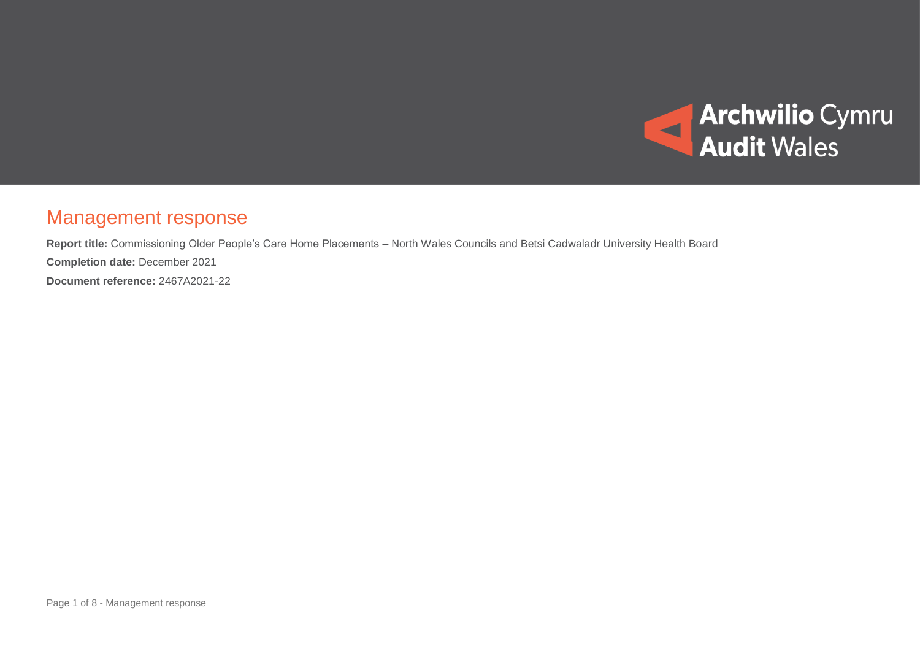

## Management response

**Report title:** Commissioning Older People's Care Home Placements – North Wales Councils and Betsi Cadwaladr University Health Board **Completion date:** December 2021 **Document reference:** 2467A2021-22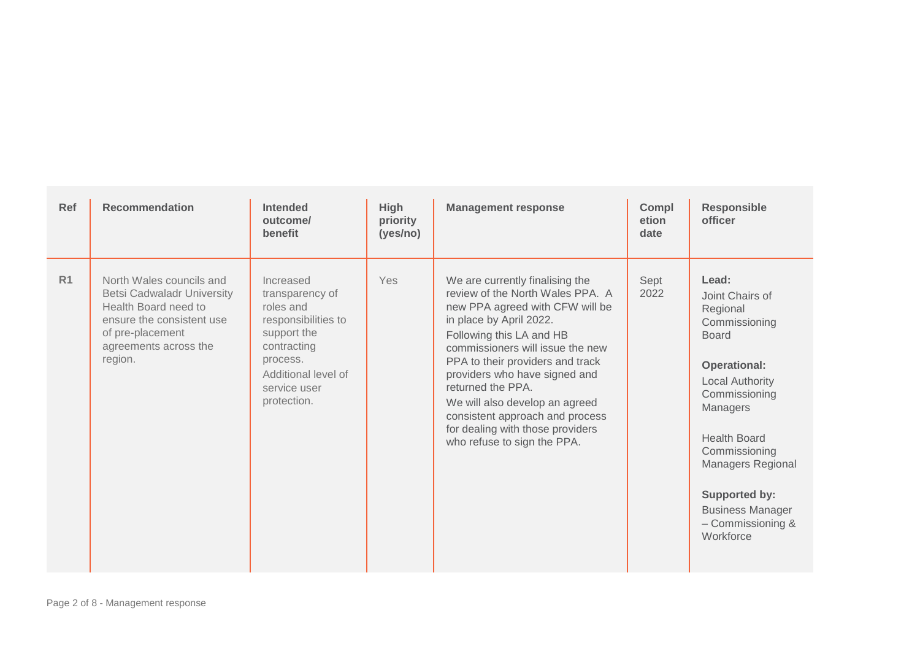| Ref            | <b>Recommendation</b>                                                                                                                                                      | <b>Intended</b><br>outcome/<br>benefit                                                                                                                           | <b>High</b><br>priority<br>(yes/no) | <b>Management response</b>                                                                                                                                                                                                                                                                                                                                                                                                          | Compl<br>etion<br>date | <b>Responsible</b><br>officer                                                                                                                                                                                                                                                                                |
|----------------|----------------------------------------------------------------------------------------------------------------------------------------------------------------------------|------------------------------------------------------------------------------------------------------------------------------------------------------------------|-------------------------------------|-------------------------------------------------------------------------------------------------------------------------------------------------------------------------------------------------------------------------------------------------------------------------------------------------------------------------------------------------------------------------------------------------------------------------------------|------------------------|--------------------------------------------------------------------------------------------------------------------------------------------------------------------------------------------------------------------------------------------------------------------------------------------------------------|
| R <sub>1</sub> | North Wales councils and<br><b>Betsi Cadwaladr University</b><br>Health Board need to<br>ensure the consistent use<br>of pre-placement<br>agreements across the<br>region. | Increased<br>transparency of<br>roles and<br>responsibilities to<br>support the<br>contracting<br>process.<br>Additional level of<br>service user<br>protection. | Yes                                 | We are currently finalising the<br>review of the North Wales PPA. A<br>new PPA agreed with CFW will be<br>in place by April 2022.<br>Following this LA and HB<br>commissioners will issue the new<br>PPA to their providers and track<br>providers who have signed and<br>returned the PPA.<br>We will also develop an agreed<br>consistent approach and process<br>for dealing with those providers<br>who refuse to sign the PPA. | Sept<br>2022           | Lead:<br>Joint Chairs of<br>Regional<br>Commissioning<br><b>Board</b><br><b>Operational:</b><br><b>Local Authority</b><br>Commissioning<br>Managers<br><b>Health Board</b><br>Commissioning<br><b>Managers Regional</b><br><b>Supported by:</b><br><b>Business Manager</b><br>- Commissioning &<br>Workforce |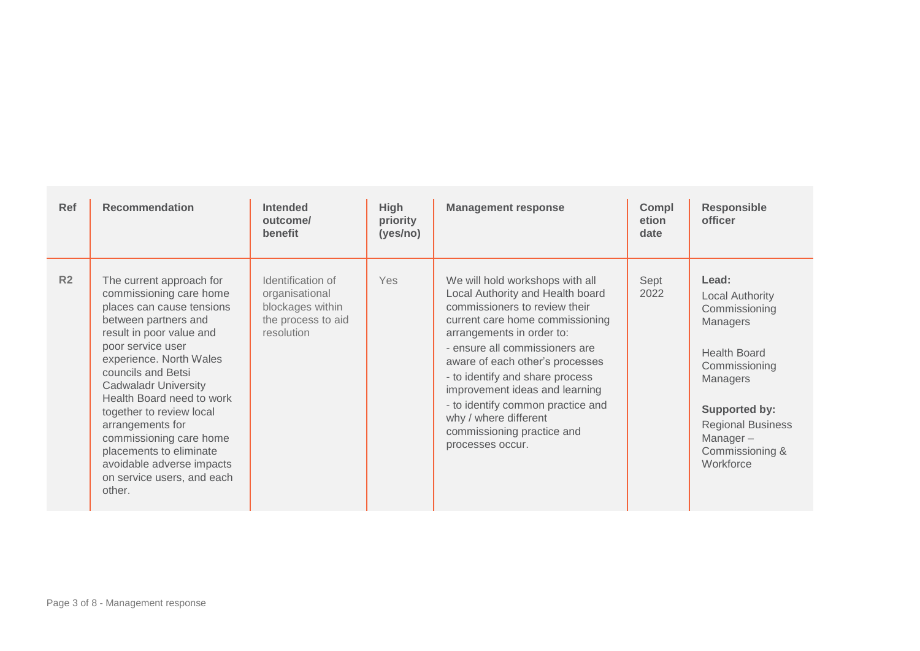| Ref            | <b>Recommendation</b>                                                                                                                                                                                                                                                                                                                                                                                                                             | <b>Intended</b><br>outcome/<br>benefit                                                      | <b>High</b><br>priority<br>(yes/no) | <b>Management response</b>                                                                                                                                                                                                                                                                                                                                                                                                     | Compl<br>etion<br>date | <b>Responsible</b><br>officer                                                                                                                                                                         |
|----------------|---------------------------------------------------------------------------------------------------------------------------------------------------------------------------------------------------------------------------------------------------------------------------------------------------------------------------------------------------------------------------------------------------------------------------------------------------|---------------------------------------------------------------------------------------------|-------------------------------------|--------------------------------------------------------------------------------------------------------------------------------------------------------------------------------------------------------------------------------------------------------------------------------------------------------------------------------------------------------------------------------------------------------------------------------|------------------------|-------------------------------------------------------------------------------------------------------------------------------------------------------------------------------------------------------|
| R <sub>2</sub> | The current approach for<br>commissioning care home<br>places can cause tensions<br>between partners and<br>result in poor value and<br>poor service user<br>experience. North Wales<br>councils and Betsi<br><b>Cadwaladr University</b><br>Health Board need to work<br>together to review local<br>arrangements for<br>commissioning care home<br>placements to eliminate<br>avoidable adverse impacts<br>on service users, and each<br>other. | Identification of<br>organisational<br>blockages within<br>the process to aid<br>resolution | <b>Yes</b>                          | We will hold workshops with all<br>Local Authority and Health board<br>commissioners to review their<br>current care home commissioning<br>arrangements in order to:<br>- ensure all commissioners are<br>aware of each other's processes<br>- to identify and share process<br>improvement ideas and learning<br>- to identify common practice and<br>why / where different<br>commissioning practice and<br>processes occur. | Sept<br>2022           | Lead:<br>Local Authority<br>Commissioning<br>Managers<br><b>Health Board</b><br>Commissioning<br>Managers<br>Supported by:<br><b>Regional Business</b><br>Manager $-$<br>Commissioning &<br>Workforce |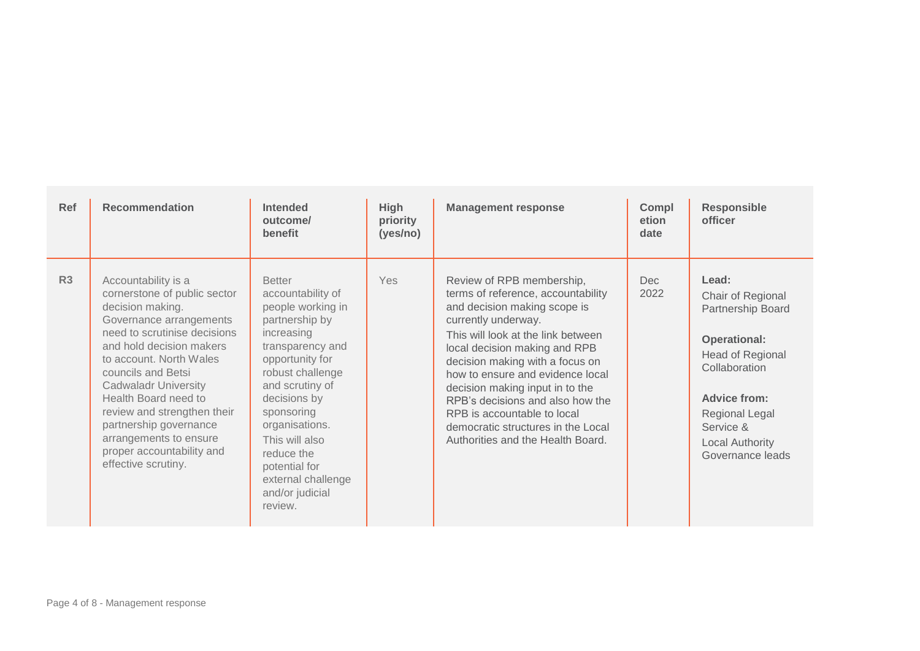| Ref            | <b>Recommendation</b>                                                                                                                                                                                                                                                                                                                                                                                         | <b>Intended</b><br>outcome/<br>benefit                                                                                                                                                                                                                                                                                     | <b>High</b><br>priority<br>(yes/no) | <b>Management response</b>                                                                                                                                                                                                                                                                                                                                                                                                                            | Compl<br>etion<br>date | <b>Responsible</b><br>officer                                                                                                                                                                            |
|----------------|---------------------------------------------------------------------------------------------------------------------------------------------------------------------------------------------------------------------------------------------------------------------------------------------------------------------------------------------------------------------------------------------------------------|----------------------------------------------------------------------------------------------------------------------------------------------------------------------------------------------------------------------------------------------------------------------------------------------------------------------------|-------------------------------------|-------------------------------------------------------------------------------------------------------------------------------------------------------------------------------------------------------------------------------------------------------------------------------------------------------------------------------------------------------------------------------------------------------------------------------------------------------|------------------------|----------------------------------------------------------------------------------------------------------------------------------------------------------------------------------------------------------|
| R <sub>3</sub> | Accountability is a<br>cornerstone of public sector<br>decision making.<br>Governance arrangements<br>need to scrutinise decisions<br>and hold decision makers<br>to account. North Wales<br>councils and Betsi<br><b>Cadwaladr University</b><br>Health Board need to<br>review and strengthen their<br>partnership governance<br>arrangements to ensure<br>proper accountability and<br>effective scrutiny. | <b>Better</b><br>accountability of<br>people working in<br>partnership by<br>increasing<br>transparency and<br>opportunity for<br>robust challenge<br>and scrutiny of<br>decisions by<br>sponsoring<br>organisations.<br>This will also<br>reduce the<br>potential for<br>external challenge<br>and/or judicial<br>review. | Yes                                 | Review of RPB membership,<br>terms of reference, accountability<br>and decision making scope is<br>currently underway.<br>This will look at the link between<br>local decision making and RPB<br>decision making with a focus on<br>how to ensure and evidence local<br>decision making input in to the<br>RPB's decisions and also how the<br>RPB is accountable to local<br>democratic structures in the Local<br>Authorities and the Health Board. | Dec<br>2022            | Lead:<br>Chair of Regional<br>Partnership Board<br><b>Operational:</b><br>Head of Regional<br>Collaboration<br><b>Advice from:</b><br>Regional Legal<br>Service &<br>Local Authority<br>Governance leads |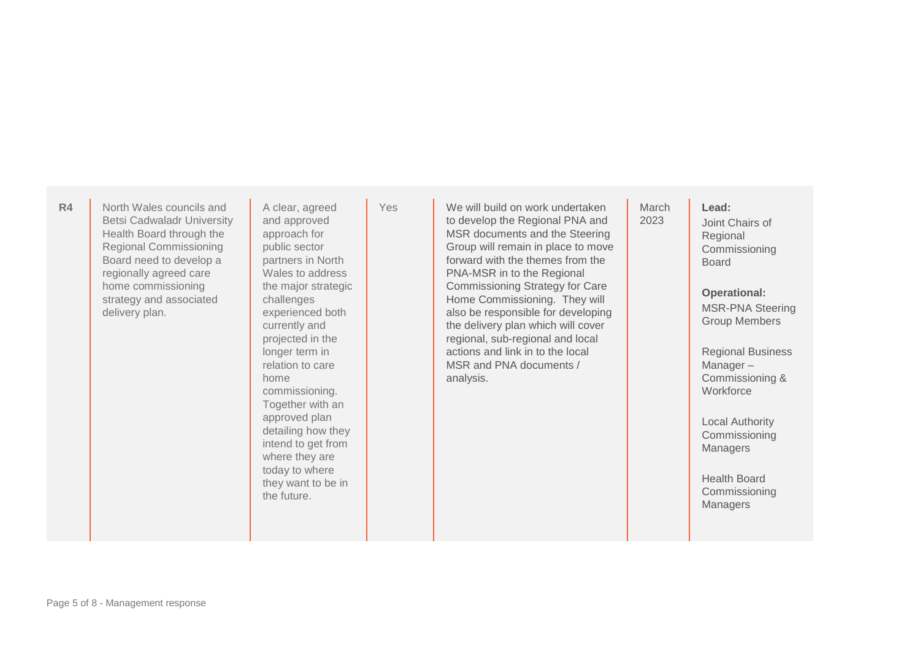**R4** North Wales councils and Betsi Cadwaladr University Health Board through the Regional Commissioning Board need to develop a regionally agreed care home commissioning strategy and associated delivery plan.

A clear, agreed and approved approach for public sector partners in North Wales to address the major strategic challenges experienced both currently and projected in the longer term in relation to care home commissioning. Together with an approved plan detailing how they intend to get from where they are today to where they want to be in the future.

Yes **We will build on work undertaken** to develop the Regional PNA and MSR documents and the Steering Group will remain in place to move forward with the themes from the PNA-MSR in to the Regional Commissioning Strategy for Care Home Commissioning. They will also be responsible for developing the delivery plan which will cover regional, sub-regional and local actions and link in to the local MSR and PNA documents / analysis.

## **March** 2023

Joint Chairs of Regional **Commissioning** Board

**Lead:**

**Operational:**  MSR-PNA Steering Group Members

Regional Business Manager – Commissioning & **Workforce** 

Local Authority Commissioning **Managers** 

Health Board Commissioning **Managers**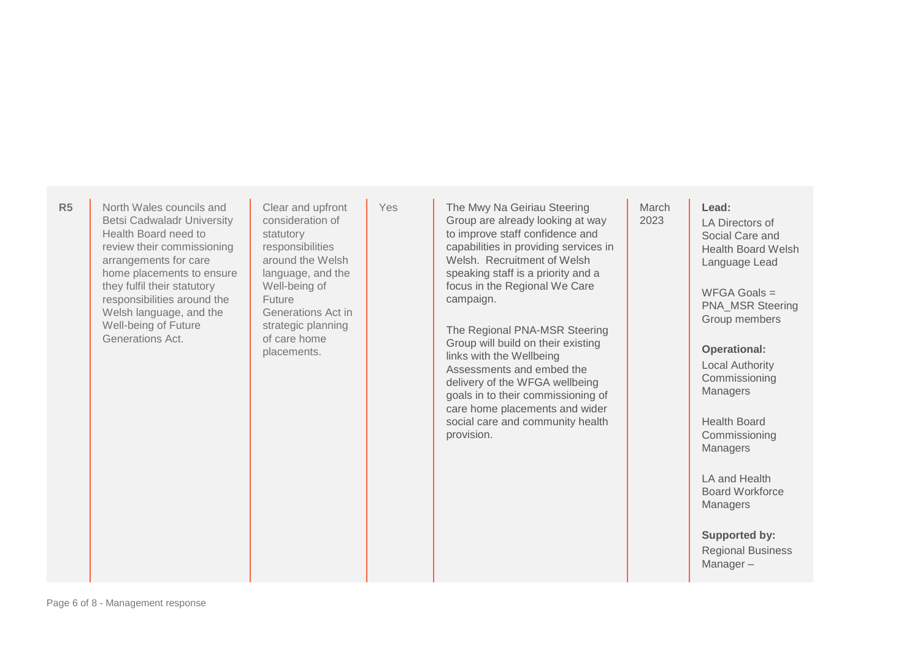**R5** North Wales councils and Betsi Cadwaladr University Health Board need to review their commissioning arrangements for care home placements to ensure they fulfil their statutory responsibilities around the Welsh language, and the Well-being of Future Generations Act.

Clear and upfront consideration of statutory responsibilities around the Welsh language, and the Well-being of Future Generations Act in strategic planning of care home placements.

Yes **The Mwy Na Geiriau Steering** Group are already looking at way to improve staff confidence and capabilities in providing services in Welsh. Recruitment of Welsh speaking staff is a priority and a focus in the Regional We Care campaign.

> The Regional PNA-MSR Steering Group will build on their existing links with the Wellbeing Assessments and embed the delivery of the WFGA wellbeing goals in to their commissioning of care home placements and wider social care and community health provision.

**March** 2023

**Lead:**

LA Directors of Social Care and Health Board Welsh Language Lead

 $WFGA$  Goals  $=$ PNA\_MSR Steering Group members

## **Operational:**

Local Authority Commissioning Managers

Health Board Commissioning **Managers** 

LA and Health Board Workforce **Managers** 

**Supported by:** Regional Business Manager –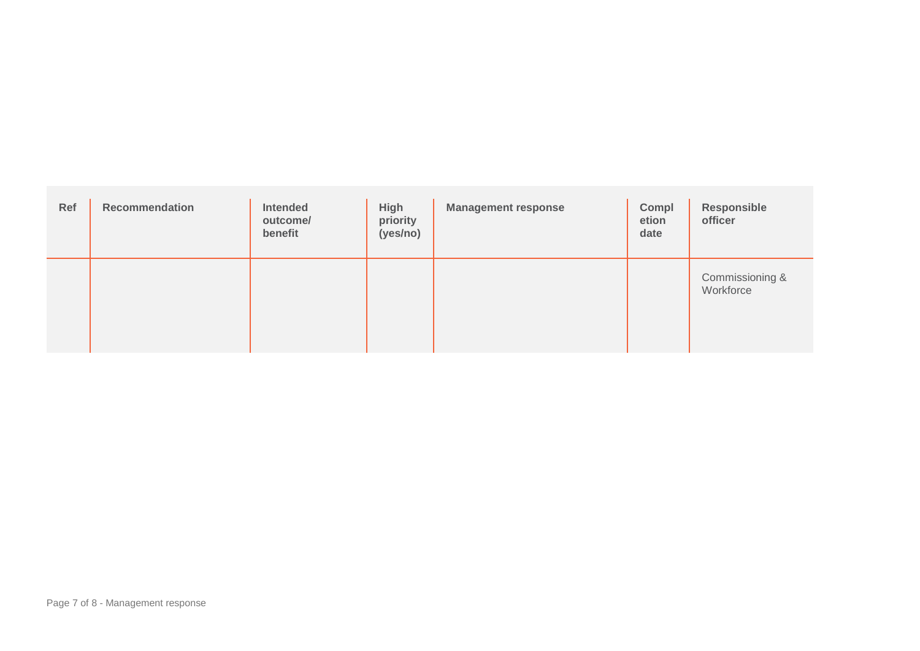| Ref | <b>Recommendation</b> | Intended<br>outcome/<br>benefit | High<br>priority<br>(yes/no) | <b>Management response</b> | Compl<br>etion<br>date | Responsible<br>officer       |
|-----|-----------------------|---------------------------------|------------------------------|----------------------------|------------------------|------------------------------|
|     |                       |                                 |                              |                            |                        | Commissioning &<br>Workforce |